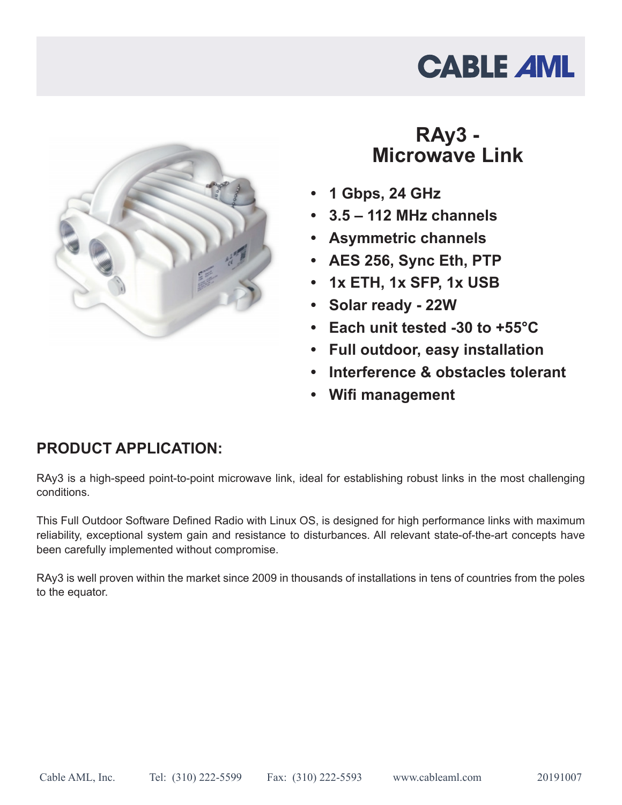# **CABLE AML**



### **RAy3 - Microwave Link**

- **• 1 Gbps, 24 GHz**
- **• 3.5 112 MHz channels**
- **• Asymmetric channels**
- **• AES 256, Sync Eth, PTP**
- **• 1x ETH, 1x SFP, 1x USB**
- **• Solar ready 22W**
- **• Each unit tested -30 to +55°C**
- **• Full outdoor, easy installation**
- **• Interference & obstacles tolerant**
- **• Wifi management**

#### **PRODUCT APPLICATION:**

RAy3 is a high-speed point-to-point microwave link, ideal for establishing robust links in the most challenging conditions.

This Full Outdoor Software Defined Radio with Linux OS, is designed for high performance links with maximum reliability, exceptional system gain and resistance to disturbances. All relevant state-of-the-art concepts have been carefully implemented without compromise.

RAy3 is well proven within the market since 2009 in thousands of installations in tens of countries from the poles to the equator.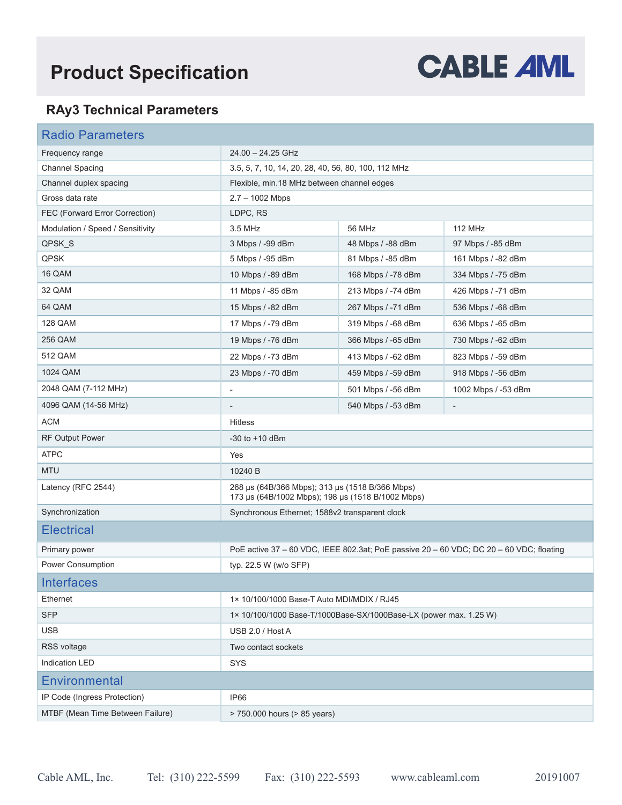## **Product Specification**



#### **RAy3 Technical Parameters**

| <b>Radio Parameters</b>          |                                                                                                      |                    |                          |  |
|----------------------------------|------------------------------------------------------------------------------------------------------|--------------------|--------------------------|--|
| Frequency range                  | 24.00 - 24.25 GHz                                                                                    |                    |                          |  |
| <b>Channel Spacing</b>           | 3.5, 5, 7, 10, 14, 20, 28, 40, 56, 80, 100, 112 MHz                                                  |                    |                          |  |
| Channel duplex spacing           | Flexible, min.18 MHz between channel edges                                                           |                    |                          |  |
| Gross data rate                  | $2.7 - 1002$ Mbps                                                                                    |                    |                          |  |
| FEC (Forward Error Correction)   | LDPC, RS                                                                                             |                    |                          |  |
| Modulation / Speed / Sensitivity | 3.5 MHz                                                                                              | 56 MHz             | <b>112 MHz</b>           |  |
| QPSK_S                           | 3 Mbps / -99 dBm                                                                                     | 48 Mbps / -88 dBm  | 97 Mbps / -85 dBm        |  |
| <b>QPSK</b>                      | 5 Mbps / -95 dBm                                                                                     | 81 Mbps / -85 dBm  | 161 Mbps / -82 dBm       |  |
| 16 QAM                           | 10 Mbps / -89 dBm                                                                                    | 168 Mbps / -78 dBm | 334 Mbps / -75 dBm       |  |
| 32 QAM                           | 11 Mbps / -85 dBm                                                                                    | 213 Mbps / -74 dBm | 426 Mbps / -71 dBm       |  |
| 64 QAM                           | 15 Mbps / -82 dBm                                                                                    | 267 Mbps / -71 dBm | 536 Mbps / -68 dBm       |  |
| <b>128 QAM</b>                   | 17 Mbps / -79 dBm                                                                                    | 319 Mbps / -68 dBm | 636 Mbps / -65 dBm       |  |
| 256 QAM                          | 19 Mbps / -76 dBm                                                                                    | 366 Mbps / -65 dBm | 730 Mbps / -62 dBm       |  |
| 512 QAM                          | 22 Mbps / -73 dBm                                                                                    | 413 Mbps / -62 dBm | 823 Mbps / -59 dBm       |  |
| 1024 QAM                         | 23 Mbps / -70 dBm                                                                                    | 459 Mbps / -59 dBm | 918 Mbps / -56 dBm       |  |
| 2048 QAM (7-112 MHz)             | $\overline{\phantom{a}}$                                                                             | 501 Mbps / -56 dBm | 1002 Mbps / -53 dBm      |  |
| 4096 QAM (14-56 MHz)             |                                                                                                      | 540 Mbps / -53 dBm | $\overline{\phantom{a}}$ |  |
| <b>ACM</b>                       | <b>Hitless</b>                                                                                       |                    |                          |  |
| <b>RF Output Power</b>           | $-30$ to $+10$ dBm                                                                                   |                    |                          |  |
| <b>ATPC</b>                      | Yes                                                                                                  |                    |                          |  |
| <b>MTU</b>                       | 10240 B                                                                                              |                    |                          |  |
| Latency (RFC 2544)               | 268 µs (64B/366 Mbps); 313 µs (1518 B/366 Mbps)<br>173 µs (64B/1002 Mbps); 198 µs (1518 B/1002 Mbps) |                    |                          |  |
| Synchronization                  | Synchronous Ethernet; 1588v2 transparent clock                                                       |                    |                          |  |
| <b>Electrical</b>                |                                                                                                      |                    |                          |  |
| Primary power                    | PoE active 37 - 60 VDC, IEEE 802.3at; PoE passive 20 - 60 VDC; DC 20 - 60 VDC; floating              |                    |                          |  |
| Power Consumption                | typ. 22.5 W (w/o SFP)                                                                                |                    |                          |  |
| <b>Interfaces</b>                |                                                                                                      |                    |                          |  |
| Ethernet                         | 1× 10/100/1000 Base-T Auto MDI/MDIX / RJ45                                                           |                    |                          |  |
| <b>SFP</b>                       | 1× 10/100/1000 Base-T/1000Base-SX/1000Base-LX (power max. 1.25 W)                                    |                    |                          |  |
| <b>USB</b>                       | USB 2.0 / Host A                                                                                     |                    |                          |  |
| RSS voltage                      | Two contact sockets                                                                                  |                    |                          |  |
| Indication LED                   | <b>SYS</b>                                                                                           |                    |                          |  |
| <b>Environmental</b>             |                                                                                                      |                    |                          |  |
| IP Code (Ingress Protection)     | IP66                                                                                                 |                    |                          |  |
| MTBF (Mean Time Between Failure) | > 750,000 hours (> 85 years)                                                                         |                    |                          |  |
|                                  |                                                                                                      |                    |                          |  |